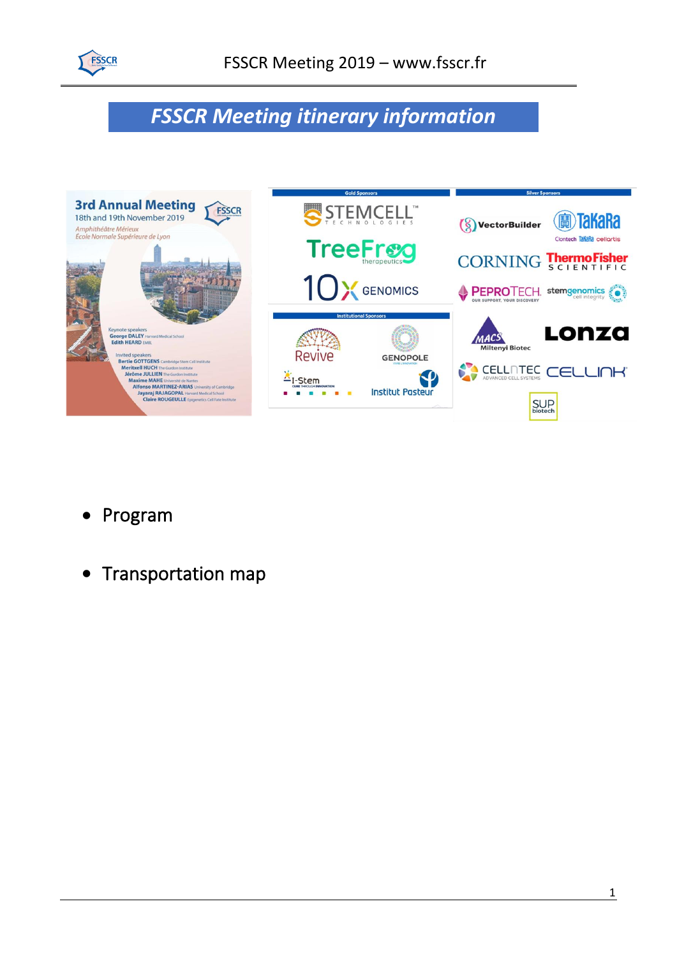

## *FSSCR Meeting itinerary information*



- Program
- Transportation map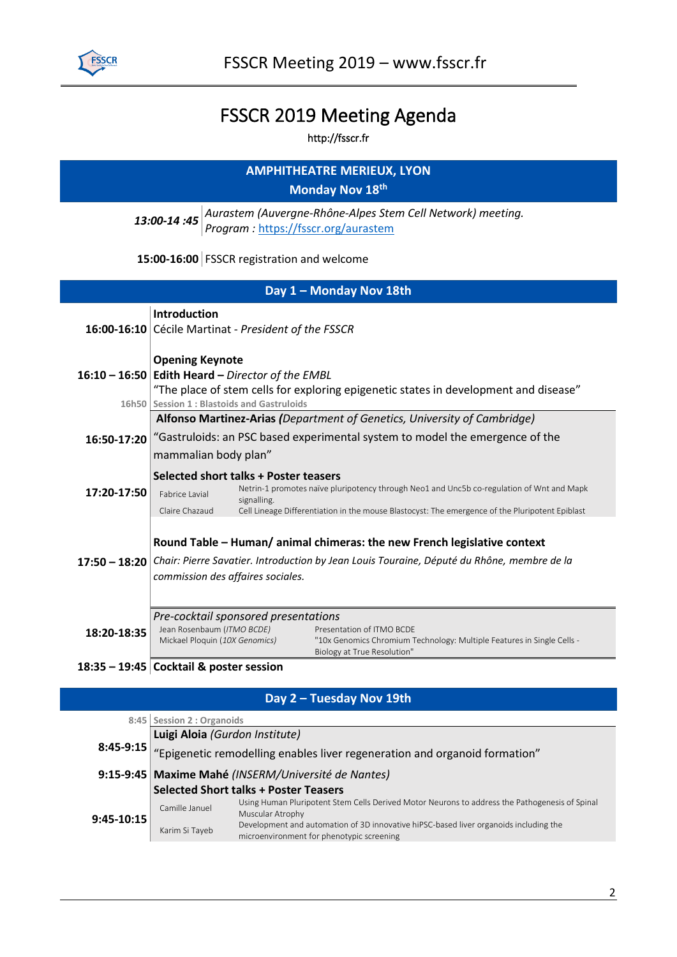

## FSSCR 2019 Meeting Agenda

http://fsscr.fr

| <b>AMPHITHEATRE MERIEUX, LYON</b><br>Monday Nov 18th                                                             |                                                                                                                                                                                                                                                                                          |  |  |  |  |
|------------------------------------------------------------------------------------------------------------------|------------------------------------------------------------------------------------------------------------------------------------------------------------------------------------------------------------------------------------------------------------------------------------------|--|--|--|--|
| Aurastem (Auvergne-Rhône-Alpes Stem Cell Network) meeting.<br>13:00-14:45<br>Program: https://fsscr.org/aurastem |                                                                                                                                                                                                                                                                                          |  |  |  |  |
| 15:00-16:00 FSSCR registration and welcome                                                                       |                                                                                                                                                                                                                                                                                          |  |  |  |  |
| Day 1 - Monday Nov 18th                                                                                          |                                                                                                                                                                                                                                                                                          |  |  |  |  |
|                                                                                                                  | <b>Introduction</b><br>16:00-16:10 Cécile Martinat - President of the FSSCR                                                                                                                                                                                                              |  |  |  |  |
|                                                                                                                  | <b>Opening Keynote</b><br>16:10 - 16:50 Edith Heard - Director of the EMBL<br>"The place of stem cells for exploring epigenetic states in development and disease"<br>16h50 Session 1 : Blastoids and Gastruloids                                                                        |  |  |  |  |
| 16:50-17:20                                                                                                      | Alfonso Martinez-Arias (Department of Genetics, University of Cambridge)<br>"Gastruloids: an PSC based experimental system to model the emergence of the<br>mammalian body plan"                                                                                                         |  |  |  |  |
| 17:20-17:50                                                                                                      | Selected short talks + Poster teasers<br>Netrin-1 promotes naïve pluripotency through Neo1 and Unc5b co-regulation of Wnt and Mapk<br>Fabrice Lavial<br>signalling.<br>Claire Chazaud<br>Cell Lineage Differentiation in the mouse Blastocyst: The emergence of the Pluripotent Epiblast |  |  |  |  |
|                                                                                                                  | Round Table - Human/animal chimeras: the new French legislative context<br>17:50 - 18:20 Chair: Pierre Savatier. Introduction by Jean Louis Touraine, Député du Rhône, membre de la<br>commission des affaires sociales.                                                                 |  |  |  |  |
| 18:20-18:35                                                                                                      | Pre-cocktail sponsored presentations<br>Jean Rosenbaum (ITMO BCDE)<br>Presentation of ITMO BCDE<br>Mickael Ploquin (10X Genomics)<br>"10x Genomics Chromium Technology: Multiple Features in Single Cells -<br>Biology at True Resolution"                                               |  |  |  |  |
|                                                                                                                  | 18:35 - 19:45 Cocktail & poster session                                                                                                                                                                                                                                                  |  |  |  |  |

## **Day 2 – Tuesday Nov 19th**

|                                                                                                                                                                      | Luigi Aloia (Gurdon Institute) |  |  |  |  |
|----------------------------------------------------------------------------------------------------------------------------------------------------------------------|--------------------------------|--|--|--|--|
| 8:45-9:15 $ $ "Epigenetic remodelling enables liver regeneration and organoid formation"                                                                             |                                |  |  |  |  |
| 9:15-9:45 Maxime Mahé (INSERM/Université de Nantes)                                                                                                                  |                                |  |  |  |  |
| <b>Selected Short talks + Poster Teasers</b>                                                                                                                         |                                |  |  |  |  |
| Using Human Pluripotent Stem Cells Derived Motor Neurons to address the Pathogenesis of Spinal<br>Camille Januel<br>Muscular Atrophy                                 |                                |  |  |  |  |
| $9:45-10:15$<br>Development and automation of 3D innovative hiPSC-based liver organoids including the<br>Karim Si Tayeb<br>microenvironment for phenotypic screening |                                |  |  |  |  |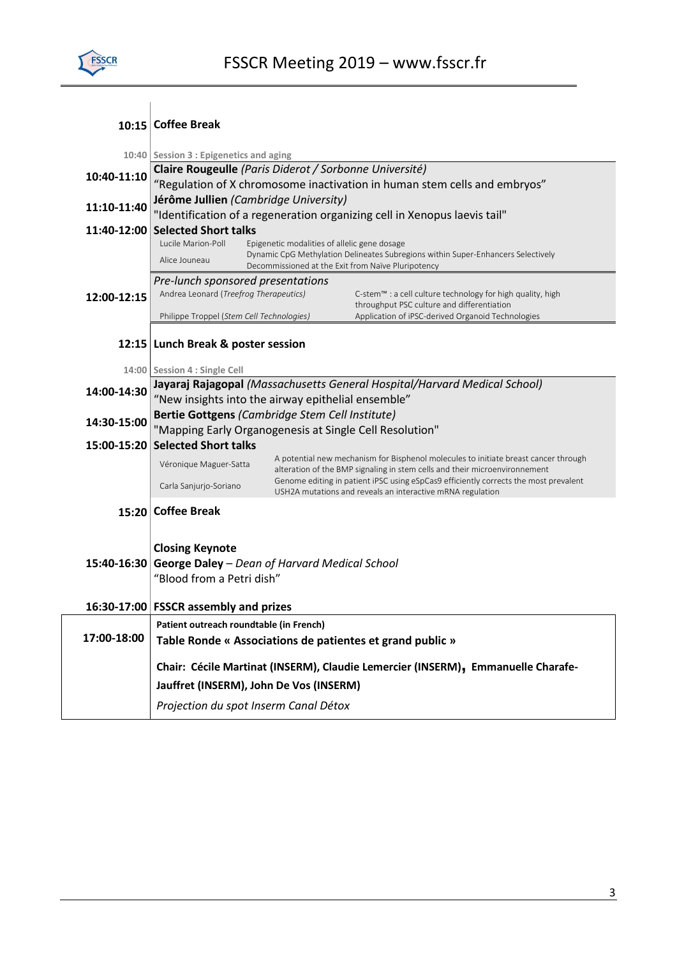

|             | 10:15 Coffee Break                                                                                                                                      |                                                                                                                                                                   |                                                                                                 |  |  |
|-------------|---------------------------------------------------------------------------------------------------------------------------------------------------------|-------------------------------------------------------------------------------------------------------------------------------------------------------------------|-------------------------------------------------------------------------------------------------|--|--|
|             |                                                                                                                                                         |                                                                                                                                                                   |                                                                                                 |  |  |
|             | 10:40 Session 3 : Epigenetics and aging                                                                                                                 |                                                                                                                                                                   |                                                                                                 |  |  |
| 10:40-11:10 | Claire Rougeulle (Paris Diderot / Sorbonne Université)                                                                                                  |                                                                                                                                                                   |                                                                                                 |  |  |
|             | "Regulation of X chromosome inactivation in human stem cells and embryos"                                                                               |                                                                                                                                                                   |                                                                                                 |  |  |
| 11:10-11:40 | Jérôme Jullien (Cambridge University)                                                                                                                   |                                                                                                                                                                   |                                                                                                 |  |  |
| 11:40-12:00 | "Identification of a regeneration organizing cell in Xenopus laevis tail"<br><b>Selected Short talks</b>                                                |                                                                                                                                                                   |                                                                                                 |  |  |
|             | Lucile Marion-Poll<br>Epigenetic modalities of allelic gene dosage                                                                                      |                                                                                                                                                                   |                                                                                                 |  |  |
|             | Dynamic CpG Methylation Delineates Subregions within Super-Enhancers Selectively<br>Alice Jouneau<br>Decommissioned at the Exit from Naïve Pluripotency |                                                                                                                                                                   |                                                                                                 |  |  |
|             | Pre-lunch sponsored presentations                                                                                                                       |                                                                                                                                                                   |                                                                                                 |  |  |
| 12:00-12:15 | Andrea Leonard (Treefrog Therapeutics)                                                                                                                  |                                                                                                                                                                   | C-stem™ : a cell culture technology for high quality, high                                      |  |  |
|             | Philippe Troppel (Stem Cell Technologies)                                                                                                               |                                                                                                                                                                   | throughput PSC culture and differentiation<br>Application of iPSC-derived Organoid Technologies |  |  |
|             |                                                                                                                                                         |                                                                                                                                                                   |                                                                                                 |  |  |
|             | 12:15 Lunch Break & poster session                                                                                                                      |                                                                                                                                                                   |                                                                                                 |  |  |
|             | 14:00 Session 4 : Single Cell                                                                                                                           |                                                                                                                                                                   |                                                                                                 |  |  |
|             | Jayaraj Rajagopal (Massachusetts General Hospital/Harvard Medical School)                                                                               |                                                                                                                                                                   |                                                                                                 |  |  |
| 14:00-14:30 | "New insights into the airway epithelial ensemble"                                                                                                      |                                                                                                                                                                   |                                                                                                 |  |  |
| 14:30-15:00 | Bertie Gottgens (Cambridge Stem Cell Institute)                                                                                                         |                                                                                                                                                                   |                                                                                                 |  |  |
|             | "Mapping Early Organogenesis at Single Cell Resolution"                                                                                                 |                                                                                                                                                                   |                                                                                                 |  |  |
| 15:00-15:20 | <b>Selected Short talks</b>                                                                                                                             |                                                                                                                                                                   |                                                                                                 |  |  |
|             | Véronique Maguer-Satta                                                                                                                                  | A potential new mechanism for Bisphenol molecules to initiate breast cancer through<br>alteration of the BMP signaling in stem cells and their microenvironnement |                                                                                                 |  |  |
|             | Carla Sanjurjo-Soriano                                                                                                                                  |                                                                                                                                                                   | Genome editing in patient iPSC using eSpCas9 efficiently corrects the most prevalent            |  |  |
|             |                                                                                                                                                         |                                                                                                                                                                   | USH2A mutations and reveals an interactive mRNA regulation                                      |  |  |
|             | 15:20 Coffee Break                                                                                                                                      |                                                                                                                                                                   |                                                                                                 |  |  |
|             |                                                                                                                                                         |                                                                                                                                                                   |                                                                                                 |  |  |
|             | <b>Closing Keynote</b>                                                                                                                                  |                                                                                                                                                                   |                                                                                                 |  |  |
|             | 15:40-16:30 George Daley - Dean of Harvard Medical School                                                                                               |                                                                                                                                                                   |                                                                                                 |  |  |
|             | "Blood from a Petri dish"                                                                                                                               |                                                                                                                                                                   |                                                                                                 |  |  |
|             | 16:30-17:00 FSSCR assembly and prizes                                                                                                                   |                                                                                                                                                                   |                                                                                                 |  |  |
|             | Patient outreach roundtable (in French)                                                                                                                 |                                                                                                                                                                   |                                                                                                 |  |  |
| 17:00-18:00 | Table Ronde « Associations de patientes et grand public »                                                                                               |                                                                                                                                                                   |                                                                                                 |  |  |
|             |                                                                                                                                                         |                                                                                                                                                                   |                                                                                                 |  |  |
|             | Chair: Cécile Martinat (INSERM), Claudie Lemercier (INSERM), Emmanuelle Charafe-                                                                        |                                                                                                                                                                   |                                                                                                 |  |  |
|             | Jauffret (INSERM), John De Vos (INSERM)                                                                                                                 |                                                                                                                                                                   |                                                                                                 |  |  |
|             | Projection du spot Inserm Canal Détox                                                                                                                   |                                                                                                                                                                   |                                                                                                 |  |  |